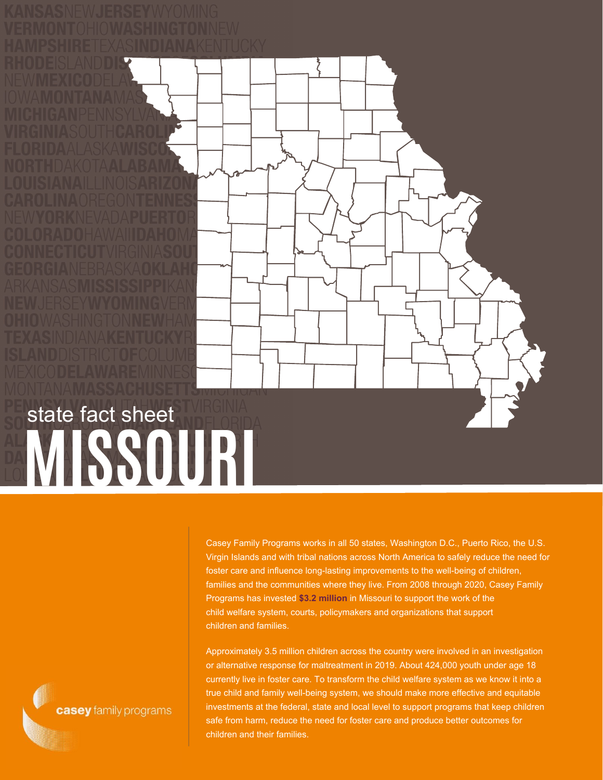



Casey Family Programs works in all 50 states, Washington D.C., Puerto Rico, the U.S. Virgin Islands and with tribal nations across North America to safely reduce the need for foster care and influence long-lasting improvements to the well-being of children, families and the communities where they live. From 2008 through 2020, Casey Family Programs has invested **\$3.2 million** in Missouri to support the work of the child welfare system, courts, policymakers and organizations that support children and families.

Approximately 3.5 million children across the country were involved in an investigation or alternative response for maltreatment in 2019. About 424,000 youth under age 18 currently live in foster care. To transform the child welfare system as we know it into a true child and family well-being system, we should make more effective and equitable investments at the federal, state and local level to support programs that keep children safe from harm, reduce the need for foster care and produce better outcomes for children and their families.

casey family programs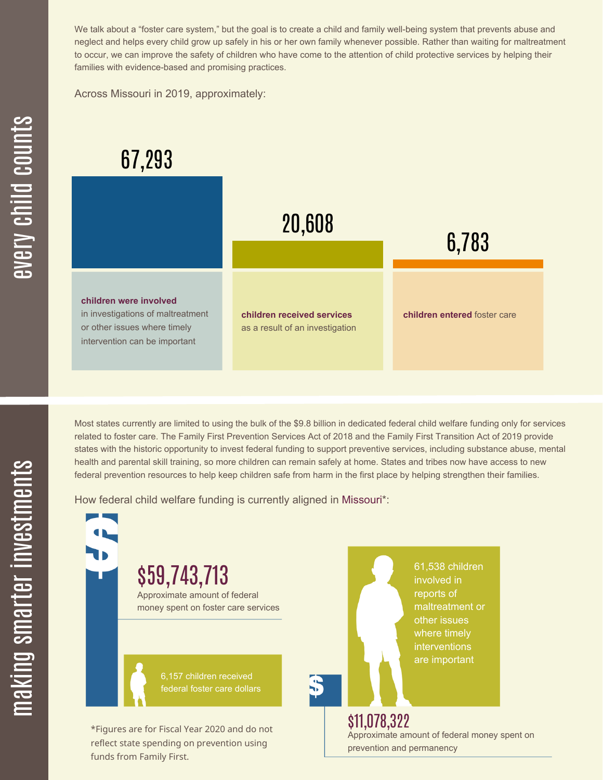We talk about a "foster care system," but the goal is to create a child and family well-being system that prevents abuse and neglect and helps every child grow up safely in his or her own family whenever possible. Rather than waiting for maltreatment to occur, we can improve the safety of children who have come to the attention of child protective services by helping their families with evidence-based and promising practices.

Across Missouri in 2019, approximately:

## 67,293



Most states currently are limited to using the bulk of the \$9.8 billion in dedicated federal child welfare funding only for services related to foster care. The Family First Prevention Services Act of 2018 and the Family First Transition Act of 2019 provide states with the historic opportunity to invest federal funding to support preventive services, including substance abuse, mental health and parental skill training, so more children can remain safely at home. States and tribes now have access to new federal prevention resources to help keep children safe from harm in the first place by helping strengthen their families.

How federal child welfare funding is currently aligned in Missouri\*:



 $\mathbf \Xi$ 

æ  $\geq$ c  $\bf \Xi$ c

hild

c $\bigcirc$ <u>u</u>  $\blacksquare$  $\mathbf{S}$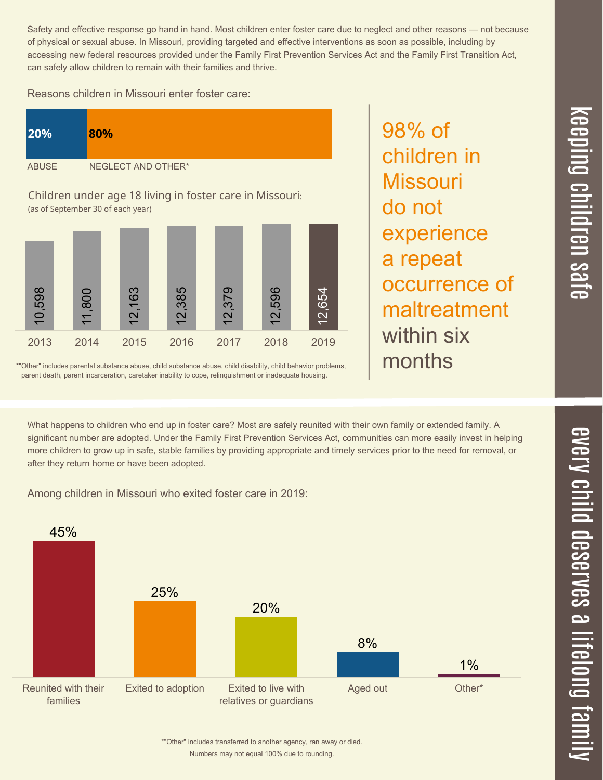Safety and effective response go hand in hand. Most children enter foster care due to neglect and other reasons — not because of physical or sexual abuse. In Missouri, providing targeted and effective interventions as soon as possible, including by accessing new federal resources provided under the Family First Prevention Services Act and the Family First Transition Act, can safely allow children to remain with their families and thrive.

## Reasons children in Missouri enter foster care:

| <b>20%</b>                                               | 80%                |
|----------------------------------------------------------|--------------------|
| <b>ABUSE</b>                                             | NEGLECT AND OTHER* |
| Children under age 18 living in foster care in Missouri. |                    |

Children under age 18 living in foster care in Missouri: (as of September 30 of each year)



\*"Other" includes parental substance abuse, child substance abuse, child disability, child behavior problems, parent death, parent incarceration, caretaker inability to cope, relinquishment or inadequate housing.

98% of children in **Missouri** do not experience a repeat occurrence of maltreatment within six months

What happens to children who end up in foster care? Most are safely reunited with their own family or extended family. A significant number are adopted. Under the Family First Prevention Services Act, communities can more easily invest in helping more children to grow up in safe, stable families by providing appropriate and timely services prior to the need for removal, or after they return home or have been adopted.

Among children in Missouri who exited foster care in 2019: